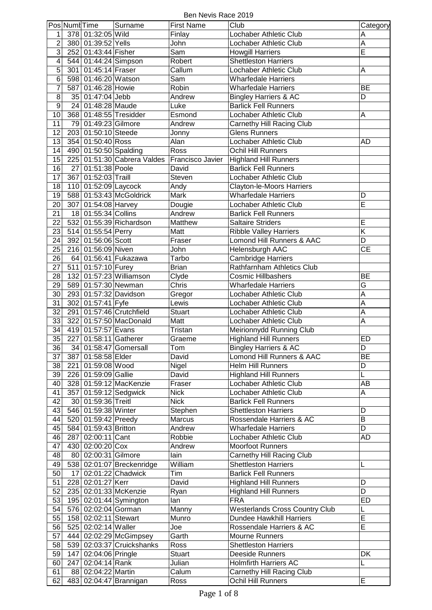Ben Nevis Race 2019

|                | Pos Numl Time |                       | Surname                     | <b>First Name</b> | Club                                                        | Category                          |
|----------------|---------------|-----------------------|-----------------------------|-------------------|-------------------------------------------------------------|-----------------------------------|
| 1              |               | 378 01:32:05 Wild     |                             | Finlay            | Lochaber Athletic Club                                      | A                                 |
| $\overline{c}$ |               | 380 01:39:52 Yells    |                             | John              | Lochaber Athletic Club                                      | A                                 |
| $\overline{3}$ |               | 252 01:43:44 Fisher   |                             | Sam               | <b>Howgill Harriers</b>                                     | Ē                                 |
| $\overline{4}$ |               | 544 01:44:24 Simpson  |                             | Robert            | <b>Shettleston Harriers</b>                                 |                                   |
| $\overline{5}$ |               | 301 01:45:14 Fraser   |                             | Callum            | Lochaber Athletic Club                                      | A                                 |
| $\overline{6}$ |               | 598 01:46:20 Watson   |                             | Sam               | <b>Wharfedale Harriers</b>                                  |                                   |
| $\overline{7}$ |               | 587 01:46:28 Howie    |                             | Robin             | <b>Wharfedale Harriers</b>                                  | <b>BE</b>                         |
| $\overline{8}$ |               | 35 01:47:04 Jebb      |                             | Andrew            | <b>Bingley Harriers &amp; AC</b>                            | D                                 |
| $\overline{9}$ |               | 24 01:48:28 Maude     |                             | Luke              | <b>Barlick Fell Runners</b>                                 |                                   |
| 10             |               |                       | 368 01:48:55 Tresidder      |                   | Lochaber Athletic Club                                      | A                                 |
| 11             |               | 79 01:49:23 Gilmore   |                             | Esmond<br>Andrew  |                                                             |                                   |
| 12             |               | 203 01:50:10 Steede   |                             |                   | Carnethy Hill Racing Club<br><b>Glens Runners</b>           |                                   |
| 13             |               |                       |                             | Jonny             | Lochaber Athletic Club                                      |                                   |
| 14             |               | 354 01:50:40 Ross     |                             | Alan<br>Ross      |                                                             | <b>AD</b>                         |
|                |               | 490 01:50:50 Spalding |                             |                   | Ochil Hill Runners                                          |                                   |
| 15             |               |                       | 225 01:51:30 Cabrera Valdes | Francisco Javier  | <b>Highland Hill Runners</b><br><b>Barlick Fell Runners</b> |                                   |
| 16             | 27            | 01:51:38 Poole        |                             | David             |                                                             |                                   |
| 17             | 367           | 01:52:03 Traill       |                             | Steven            | Lochaber Athletic Club                                      |                                   |
| 18             |               | 110 01:52:09 Laycock  |                             | Andy              | <b>Clayton-le-Moors Harriers</b>                            |                                   |
| 19             |               |                       | 588 01:53:43 McGoldrick     | <b>Mark</b>       | <b>Wharfedale Harriers</b>                                  | D                                 |
| 20             |               | 307 01:54:08 Harvey   |                             | Dougie            | Lochaber Athletic Club                                      | Ē                                 |
| 21             |               | 18 01:55:34 Collins   |                             | Andrew            | <b>Barlick Fell Runners</b>                                 |                                   |
| 22             |               |                       | 532 01:55:39 Richardson     | Matthew           | <b>Saltaire Striders</b>                                    | E                                 |
| 23             |               | 514 01:55:54 Perry    |                             | Matt              | <b>Ribble Valley Harriers</b>                               | $\overline{\mathsf{K}}$           |
| 24             |               | 392 01:56:06 Scott    |                             | Fraser            | Lomond Hill Runners & AAC                                   | D                                 |
| 25             |               | 216 01:56:09 Niven    |                             | John              | Helensburgh AAC                                             | $\overline{\overline{\text{CE}}}$ |
| 26             |               |                       | 64 01:56:41 Fukazawa        | Tarbo             | <b>Cambridge Harriers</b>                                   |                                   |
| 27             |               | 511 01:57:10 Furey    |                             | <b>Brian</b>      | <b>Rathfarnham Athletics Club</b>                           |                                   |
| 28             |               |                       | 132 01:57:23 Williamson     | Clyde             | Cosmic Hillbashers                                          | <b>BE</b>                         |
| 29             |               | 589 01:57:30 Newman   |                             | Chris             | <b>Wharfedale Harriers</b>                                  | G                                 |
| 30             |               |                       | 293 01:57:32 Davidson       | Gregor            | Lochaber Athletic Club                                      | A                                 |
| 31             |               | 302 01:57:41 Fyfe     |                             | Lewis             | Lochaber Athletic Club                                      | A                                 |
| 32             |               |                       | 291 01:57:46 Crutchfield    | <b>Stuart</b>     | Lochaber Athletic Club                                      | A                                 |
| 33             | 322           |                       | 01:57:50 MacDonald          | Matt              | Lochaber Athletic Club                                      | A                                 |
| 34             |               | 419 01:57:57 Evans    |                             | Tristan           | Meirionnydd Running Club                                    |                                   |
| 35             | 227           | 01:58:11 Gatherer     |                             | Graeme            | <b>Highland Hill Runners</b>                                | <b>ED</b>                         |
| 36             |               |                       | 34 01:58:47 Gomersall       | Tom               | <b>Bingley Harriers &amp; AC</b>                            | D                                 |
| 37             |               | 387 01:58:58 Elder    |                             | David             | Lomond Hill Runners & AAC                                   | <b>BE</b>                         |
| 38             |               | 221 01:59:08 Wood     |                             | Nigel             | <b>Helm Hill Runners</b>                                    | D                                 |
| 39             |               | 226 01:59:09 Gallie   |                             | David             | <b>Highland Hill Runners</b>                                | L                                 |
| 40             |               |                       | 328 01:59:12 MacKenzie      | Fraser            | Lochaber Athletic Club                                      | AB                                |
| 41             |               |                       | 357 01:59:12 Sedgwick       | <b>Nick</b>       | Lochaber Athletic Club                                      | A                                 |
| 42             |               | 30 01:59:36 Treitl    |                             | <b>Nick</b>       | <b>Barlick Fell Runners</b>                                 |                                   |
| 43             |               | 546 01:59:38 Winter   |                             | Stephen           | <b>Shettleston Harriers</b>                                 | D                                 |
| 44             |               | 520 01:59:42 Preedy   |                             | Marcus            | Rossendale Harriers & AC                                    | B                                 |
| 45             |               | 584 01:59:43 Britton  |                             | Andrew            | <b>Wharfedale Harriers</b>                                  | D                                 |
| 46             |               | 287 02:00:11 Cant     |                             | Robbie            | Lochaber Athletic Club                                      | AD                                |
| 47             |               | 430 02:00:20 Cox      |                             | Andrew            | <b>Moorfoot Runners</b>                                     |                                   |
| 48             |               | 80 02:00:31 Gilmore   |                             | lain              | Carnethy Hill Racing Club                                   |                                   |
| 49             |               |                       | 538 02:01:07 Breckenridge   | William           | <b>Shettleston Harriers</b>                                 | L                                 |
| 50             | 17            |                       | 02:01:22 Chadwick           | Tim               | <b>Barlick Fell Runners</b>                                 |                                   |
| 51             |               | 228 02:01:27 Kerr     |                             | David             | <b>Highland Hill Runners</b>                                | D                                 |
| 52             |               |                       | 235 02:01:33 McKenzie       | Ryan              | <b>Highland Hill Runners</b>                                | D                                 |
| 53             |               |                       | 195 02:01:44 Symington      | lan               | <b>FRA</b>                                                  | ED                                |
| 54             |               | 576 02:02:04 Gorman   |                             | Manny             | <b>Westerlands Cross Country Club</b>                       | L                                 |
| 55             |               | 158 02:02:11 Stewart  |                             | Munro             | <b>Dundee Hawkhill Harriers</b>                             | E                                 |
| 56             |               | 525 02:02:14 Waller   |                             | Joe               | Rossendale Harriers & AC                                    | Ē                                 |
| 57             |               |                       | 444 02:02:29 McGimpsey      | Garth             | <b>Mourne Runners</b>                                       |                                   |
| 58             |               |                       | 539 02:03:37 Cruickshanks   | Ross              | <b>Shettleston Harriers</b>                                 |                                   |
| 59             |               | 147 02:04:06 Pringle  |                             | Stuart            | Deeside Runners                                             | DK                                |
| 60             |               | 247 02:04:14 Rank     |                             | Julian            | <b>Holmfirth Harriers AC</b>                                | L                                 |
| 61             |               | 88 02:04:22 Martin    |                             | Calum             | Carnethy Hill Racing Club                                   |                                   |
| 62             |               |                       | 483 02:04:47 Brannigan      | Ross              | Ochil Hill Runners                                          | E                                 |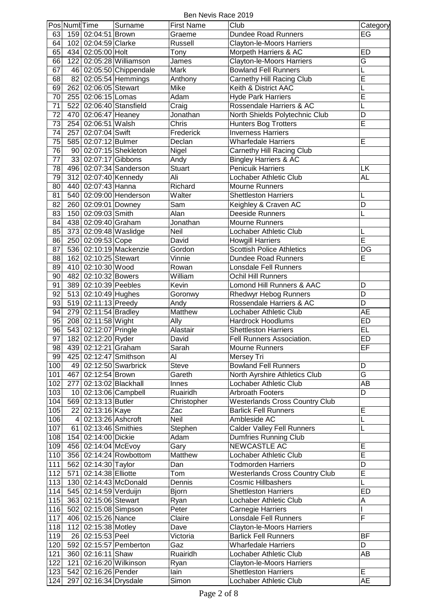Ben Nevis Race 2019

|     | Pos Numl Time |                       | Surname                 | <b>First Name</b> | Club                                                          | Category                |
|-----|---------------|-----------------------|-------------------------|-------------------|---------------------------------------------------------------|-------------------------|
| 63  |               | 159 02:04:51 Brown    |                         | Graeme            | <b>Dundee Road Runners</b>                                    | EG                      |
| 64  |               | 102 02:04:59 Clarke   |                         | Russell           | Clayton-le-Moors Harriers                                     |                         |
| 65  |               | 434 02:05:00 Holt     |                         | Tony              | Morpeth Harriers & AC                                         | <b>ED</b>               |
| 66  |               |                       | 122 02:05:28 Williamson | James             | Clayton-le-Moors Harriers                                     | $\overline{\mathsf{G}}$ |
| 67  |               |                       | 46 02:05:50 Chippendale | Mark              | <b>Bowland Fell Runners</b>                                   | L                       |
| 68  |               |                       | 82 02:05:54 Hemmings    | Anthony           | Carnethy Hill Racing Club                                     | E                       |
| 69  |               | 262 02:06:05 Stewart  |                         | Mike              | Keith & District AAC                                          | L                       |
| 70  |               | 255 02:06:15 Lomas    |                         | Adam              | <b>Hyde Park Harriers</b>                                     | E                       |
| 71  | 522           |                       | $02:06:40$ Stansfield   | Craig             | Rossendale Harriers & AC                                      | L                       |
| 72  |               | 470 02:06:47 Heaney   |                         | Jonathan          |                                                               | D                       |
| 73  |               | 254 02:06:51 Walsh    |                         | Chris             | North Shields Polytechnic Club<br><b>Hunters Bog Trotters</b> | Ē                       |
| 74  |               |                       |                         |                   | <b>Inverness Harriers</b>                                     |                         |
| 75  |               | 257 02:07:04 Swift    |                         | Frederick         | <b>Wharfedale Harriers</b>                                    | E                       |
|     |               | 585 02:07:12 Bulmer   |                         | Declan            |                                                               |                         |
| 76  |               |                       | 90 02:07:15 Shekleton   | Nigel             | Carnethy Hill Racing Club                                     |                         |
| 77  |               | 33 02:07:17 Gibbons   |                         | Andy              | <b>Bingley Harriers &amp; AC</b>                              |                         |
| 78  |               |                       | 496 02:07:34 Sanderson  | <b>Stuart</b>     | <b>Penicuik Harriers</b>                                      | LK                      |
| 79  | 312           | 02:07:40 Kennedy      |                         | Ali               | Lochaber Athletic Club                                        | <b>AL</b>               |
| 80  |               | 440 02:07:43 Hanna    |                         | Richard           | Mourne Runners                                                |                         |
| 81  |               |                       | 540 02:09:00 Henderson  | Walter            | <b>Shettleston Harriers</b>                                   | L                       |
| 82  |               | 260 02:09:01 Downey   |                         | Sam               | Keighley & Craven AC                                          | D                       |
| 83  |               | 150 02:09:03 Smith    |                         | Alan              | Deeside Runners                                               | L                       |
| 84  |               | 438 02:09:40 Graham   |                         | Jonathan          | Mourne Runners                                                |                         |
| 85  |               |                       | 373 02:09:48 Waslidge   | Neil              | Lochaber Athletic Club                                        | L                       |
| 86  |               | 250 02:09:53 Cope     |                         | David             | <b>Howgill Harriers</b>                                       | Ē                       |
| 87  |               |                       | 536 02:10:19 Mackenzie  | Gordon            | <b>Scottish Police Athletics</b>                              | $\overline{DG}$         |
| 88  | 162           | 02:10:25 Stewart      |                         | Vinnie            | <b>Dundee Road Runners</b>                                    | E                       |
| 89  |               | 410 02:10:30 Wood     |                         | Rowan             | Lonsdale Fell Runners                                         |                         |
| 90  |               | 482 02:10:32 Bowers   |                         | William           | <b>Ochil Hill Runners</b>                                     |                         |
| 91  |               | 389 02:10:39 Peebles  |                         | Kevin             | Lomond Hill Runners & AAC                                     | D                       |
| 92  |               | 513 02:10:49 Hughes   |                         | Goronwy           | <b>Rhedwyr Hebog Runners</b>                                  | D                       |
| 93  |               | 519 02:11:13 Preedy   |                         | Andy              | Rossendale Harriers & AC                                      | $\overline{\mathsf{D}}$ |
| 94  |               | 279 02:11:54 Bradley  |                         | Matthew           | Lochaber Athletic Club                                        | AE                      |
| 95  |               | 208 02:11:58 Wight    |                         | Ally              | <b>Hardrock Hoodlums</b>                                      | <b>ED</b>               |
| 96  |               | 543 02:12:07 Pringle  |                         | Alastair          | <b>Shettleston Harriers</b>                                   | EL                      |
| 97  | 182           | 02:12:20 Ryder        |                         | David             | Fell Runners Association.                                     | <b>ED</b>               |
| 98  |               | 439 02:12:21 Graham   |                         | Sarah             | Mourne Runners                                                | EF                      |
| 99  |               |                       | 425 02:12:47 Smithson   | Al                | Mersey Tri                                                    |                         |
| 100 |               |                       | 49 02:12:50 Swarbrick   | <b>Steve</b>      | <b>Bowland Fell Runners</b>                                   | D                       |
| 101 |               | 467 02:12:54 Brown    |                         | Gareth            | North Ayrshire Athletics Club                                 | $\overline{\mathsf{G}}$ |
| 102 |               |                       | 277 02:13:02 Blackhall  | Innes             | Lochaber Athletic Club                                        | AB                      |
| 103 |               |                       | 10 02:13:06 Campbell    | Ruairidh          | <b>Arbroath Footers</b>                                       | D                       |
| 104 |               | 569 02:13:13 Butler   |                         | Christopher       | <b>Westerlands Cross Country Club</b>                         |                         |
| 105 |               | 22 02:13:16 Kaye      |                         | Zac               | <b>Barlick Fell Runners</b>                                   | $\overline{E}$          |
| 106 |               | 4 02:13:26 Ashcroft   |                         | Neil              | Ambleside AC                                                  | L                       |
| 107 |               | 61 02:13:46 Smithies  |                         | Stephen           | <b>Calder Valley Fell Runners</b>                             | L                       |
| 108 |               | 154 02:14:00 Dickie   |                         | Adam              | <b>Dumfries Running Club</b>                                  |                         |
| 109 |               | 456 02:14:04 McEvoy   |                         | Gary              | NEWCASTLE AC                                                  | E                       |
| 110 |               |                       | 356 02:14:24 Rowbottom  | Matthew           | Lochaber Athletic Club                                        | Ē                       |
| 111 |               | 562 02:14:30 Taylor   |                         | Dan               | <b>Todmorden Harriers</b>                                     | D                       |
| 112 |               | 571 02:14:38 Elliotte |                         | Tom               | <b>Westerlands Cross Country Club</b>                         | E                       |
| 113 |               |                       | 130 02:14:43 McDonald   | Dennis            | <b>Cosmic Hillbashers</b>                                     | L                       |
| 114 |               | 545 02:14:59 Verduijn |                         | <b>Bjorn</b>      | <b>Shettleston Harriers</b>                                   | ED                      |
| 115 |               | 363 02:15:06 Stewart  |                         | Ryan              | Lochaber Athletic Club                                        | Α                       |
| 116 |               | 502 02:15:08 Simpson  |                         | Peter             | Carnegie Harriers                                             | I                       |
| 117 |               | 406 02:15:26 Nance    |                         | Claire            | Lonsdale Fell Runners                                         | F                       |
| 118 |               | 112 02:15:38 Motley   |                         | Dave              | Clayton-le-Moors Harriers                                     |                         |
| 119 |               | 26 02:15:53 Peel      |                         | Victoria          | <b>Barlick Fell Runners</b>                                   | <b>BF</b>               |
| 120 |               |                       | 592 02:15:57 Pemberton  | Gaz               | <b>Wharfedale Harriers</b>                                    | D                       |
| 121 |               | 360 02:16:11 Shaw     |                         | Ruairidh          | Lochaber Athletic Club                                        | AВ                      |
| 122 |               |                       | 121 02:16:20 Wilkinson  | Ryan              | <b>Clayton-le-Moors Harriers</b>                              |                         |
| 123 |               | 542 02:16:26 Pender   |                         | lain              | <b>Shettleston Harriers</b>                                   | E                       |
|     |               |                       | 297 02:16:34 Drysdale   | Simon             | Lochaber Athletic Club                                        | AE                      |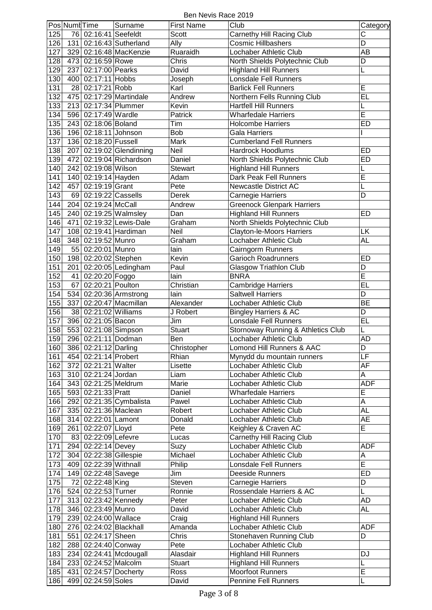Ben Nevis Race 2019

|     | Pos Numt Time |                        | Surname                  | <b>First Name</b> | Club                               | Category                 |
|-----|---------------|------------------------|--------------------------|-------------------|------------------------------------|--------------------------|
| 125 |               | 76 02:16:41 Seefeldt   |                          | Scott             |                                    | C                        |
|     |               |                        |                          |                   | Carnethy Hill Racing Club          |                          |
| 126 |               |                        | 131 02:16:43 Sutherland  | Ally              | <b>Cosmic Hillbashers</b>          | $\overline{\mathsf{D}}$  |
| 127 |               |                        | 329 02:16:48 MacKenzie   | Ruaraidh          | Lochaber Athletic Club             | AB                       |
| 128 |               | 473 02:16:59 Rowe      |                          | Chris             | North Shields Polytechnic Club     | D                        |
| 129 | 237           | 02:17:00 Pearks        |                          | David             | <b>Highland Hill Runners</b>       | L                        |
| 130 |               | 400 02:17:11 Hobbs     |                          | Joseph            | <b>Lonsdale Fell Runners</b>       |                          |
| 131 | 28            | 02:17:21 Robb          |                          | Karl              | <b>Barlick Fell Runners</b>        | E                        |
| 132 | 475           |                        | 02:17:29 Martindale      | Andrew            | Northern Fells Running Club        | EL                       |
| 133 |               |                        | 213 02:17:34 Plummer     | Kevin             | <b>Hartfell Hill Runners</b>       |                          |
|     |               |                        |                          |                   |                                    | E                        |
| 134 |               | 596 02:17:49 Wardle    |                          | Patrick           | <b>Wharfedale Harriers</b>         |                          |
| 135 |               | 243 02:18:06 Boland    |                          | Tim               | <b>Holcombe Harriers</b>           | ED                       |
| 136 |               | 196 02:18:11 Johnson   |                          | Bob               | <b>Gala Harriers</b>               |                          |
| 137 |               | 136 02:18:20 Fussell   |                          | Mark              | <b>Cumberland Fell Runners</b>     |                          |
| 138 |               |                        | 207 02:19:02 Glendinning | Neil              | <b>Hardrock Hoodlums</b>           | ED                       |
| 139 | 472           |                        | 02:19:04 Richardson      | Daniel            | North Shields Polytechnic Club     | <b>ED</b>                |
| 140 |               | 242 02:19:08 Wilson    |                          | Stewart           | <b>Highland Hill Runners</b>       | L                        |
| 141 |               | 140 02:19:14 Hayden    |                          | Adam              | Dark Peak Fell Runners             | Ē                        |
| 142 |               | 457 02:19:19 Grant     |                          | Pete              | <b>Newcastle District AC</b>       | L                        |
|     |               |                        |                          |                   |                                    | D                        |
| 143 |               | 69 02:19:22 Cassells   |                          | Derek             | Carnegie Harriers                  |                          |
| 144 |               | 204 02:19:24 McCall    |                          | Andrew            | <b>Greenock Glenpark Harriers</b>  |                          |
| 145 |               |                        | 240 02:19:25 Walmsley    | Dan               | <b>Highland Hill Runners</b>       | <b>ED</b>                |
| 146 |               |                        | 471 02:19:32 Lewis-Dale  | Graham            | North Shields Polytechnic Club     |                          |
| 147 |               |                        | 108 02:19:41 Hardiman    | Neil              | <b>Clayton-le-Moors Harriers</b>   | LK                       |
| 148 |               | 348 02:19:52 Munro     |                          | Graham            | Lochaber Athletic Club             | AL                       |
| 149 |               | 55 02:20:01 Munro      |                          | lain              | Cairngorm Runners                  |                          |
| 150 |               | 198 02:20:02 Stephen   |                          | Kevin             | <b>Garioch Roadrunners</b>         | <b>ED</b>                |
| 151 |               |                        |                          |                   |                                    |                          |
|     | 201           |                        | 02:20:05 Ledingham       | Paul              | <b>Glasgow Triathlon Club</b>      | D                        |
| 152 |               | 41 02:20:20 Foggo      |                          | lain              | <b>BNRA</b>                        | $\overline{\mathsf{E}}$  |
| 153 | 67            | 02:20:21 Poulton       |                          | Christian         | <b>Cambridge Harriers</b>          | $\overline{EL}$          |
| 154 |               |                        | 534 02:20:36 Armstrong   | lain              | <b>Saltwell Harriers</b>           | D                        |
| 155 | 337           |                        | $02:20:47$ Macmillan     | Alexander         | Lochaber Athletic Club             | <b>BE</b>                |
| 156 |               | 38 02:21:02 Williams   |                          | J Robert          | <b>Bingley Harriers &amp; AC</b>   | D                        |
| 157 |               | 396 02:21:05 Bacon     |                          | Jim               | <b>Lonsdale Fell Runners</b>       | EL                       |
| 158 |               | 553 02:21:08 Simpson   |                          | Stuart            | Stornoway Running & Athletics Club |                          |
| 159 |               | 296 02:21:11 Dodman    |                          | Ben               | Lochaber Athletic Club             | <b>AD</b>                |
|     |               |                        |                          |                   |                                    |                          |
| 160 |               | 386 02:21:12 Darling   |                          | Christopher       | Lomond Hill Runners & AAC          | D                        |
| 161 |               | 454 02:21:14 Probert   |                          | Rhian             | Mynydd du mountain runners         | $\overline{\mathsf{LF}}$ |
| 162 |               | 372 02:21:21 Walter    |                          | Lisette           | Lochaber Athletic Club             | <b>AF</b>                |
| 163 |               | 310 02:21:24 Jordan    |                          | Liam              | Lochaber Athletic Club             | A                        |
| 164 |               | 343 02:21:25 Meldrum   |                          | Marie             | Lochaber Athletic Club             | <b>ADF</b>               |
| 165 |               | 593 02:21:33 Pratt     |                          | Daniel            | <b>Wharfedale Harriers</b>         | $\overline{E}$           |
| 166 |               |                        | 292 02:21:35 Cymbalista  | Pawel             | Lochaber Athletic Club             | A                        |
| 167 |               | 335 02:21:36 Maclean   |                          | Robert            | Lochaber Athletic Club             | <b>AL</b>                |
| 168 |               |                        |                          | Donald            | Lochaber Athletic Club             | <b>AE</b>                |
|     |               | 314 02:22:01 Lamont    |                          |                   |                                    | E                        |
| 169 |               | 261 02:22:07 Lloyd     |                          | Pete              | Keighley & Craven AC               |                          |
| 170 |               | 83 02:22:09 Lefevre    |                          | Lucas             | Carnethy Hill Racing Club          |                          |
| 171 |               | 294 02:22:14 Devey     |                          | Suzy              | Lochaber Athletic Club             | <b>ADF</b>               |
| 172 |               | 304 02:22:38 Gillespie |                          | Michael           | Lochaber Athletic Club             | A                        |
| 173 |               | 409 02:22:39 Withnall  |                          | Philip            | Lonsdale Fell Runners              | E                        |
| 174 |               | 149 02:22:48 Savege    |                          | Jim               | Deeside Runners                    | <b>ED</b>                |
| 175 |               | 72 02:22:48 King       |                          | Steven            | Carnegie Harriers                  | D                        |
| 176 |               | 524 02:22:53 Turner    |                          | Ronnie            | Rossendale Harriers & AC           | L                        |
| 177 |               | 313 02:23:42 Kennedy   |                          | Peter             | Lochaber Athletic Club             | AD                       |
|     |               |                        |                          |                   |                                    |                          |
| 178 |               | 346 02:23:49 Munro     |                          | David             | Lochaber Athletic Club             | <b>AL</b>                |
| 179 |               | 239 02:24:00 Wallace   |                          | Craig             | <b>Highland Hill Runners</b>       |                          |
| 180 |               |                        | 276 02:24:02 Blackhall   | Amanda            | Lochaber Athletic Club             | ADF                      |
| 181 |               | 551 02:24:17 Sheen     |                          | Chris             | Stonehaven Running Club            | D                        |
| 182 |               | 288 02:24:40 Conway    |                          | Pete              | Lochaber Athletic Club             |                          |
| 183 |               |                        | 234 02:24:41 Mcdougall   | Alasdair          | <b>Highland Hill Runners</b>       | DJ                       |
| 184 |               | 233 02:24:52 Malcolm   |                          | <b>Stuart</b>     | <b>Highland Hill Runners</b>       | L                        |
| 185 |               |                        | 431 02:24:57 Docherty    | Ross              | <b>Moorfoot Runners</b>            | $\overline{E}$           |
|     |               |                        |                          | David             | Pennine Fell Runners               | L                        |
| 186 |               | 499 02:24:59 Soles     |                          |                   |                                    |                          |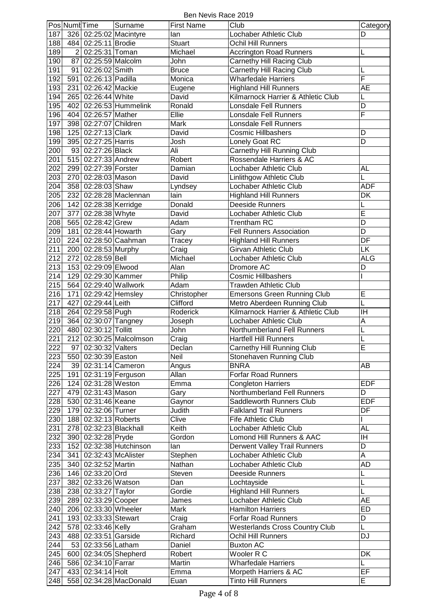Ben Nevis Race 2019

|     | Pos Numl Time  |                       | Surname                 | <b>First Name</b> | Club                                  | Category                |
|-----|----------------|-----------------------|-------------------------|-------------------|---------------------------------------|-------------------------|
| 187 |                |                       | 326 02:25:02 Macintyre  | lan               | Lochaber Athletic Club                | D                       |
| 188 |                | 484 02:25:11 Brodie   |                         | <b>Stuart</b>     | Ochil Hill Runners                    |                         |
| 189 | $\overline{2}$ | 02:25:31 Toman        |                         | Michael           | <b>Accrington Road Runners</b>        | L                       |
| 190 | 87             | 02:25:59 Malcolm      |                         | John              | Carnethy Hill Racing Club             |                         |
| 191 | 91             | 02:26:02 Smith        |                         | <b>Bruce</b>      | Carnethy Hill Racing Club             | L                       |
| 192 | 591            | 02:26:13 Padilla      |                         | Monica            | <b>Wharfedale Harriers</b>            | $\overline{\mathsf{F}}$ |
|     |                |                       |                         |                   |                                       |                         |
| 193 | 231            | 02:26:42 Mackie       |                         | Eugene            | <b>Highland Hill Runners</b>          | <b>AE</b>               |
| 194 |                | 265 02:26:44 White    |                         | David             | Kilmarnock Harrier & Athletic Club    |                         |
| 195 |                |                       | 402 02:26:53 Hummelink  | Ronald            | <b>Lonsdale Fell Runners</b>          | D                       |
| 196 |                | 404 02:26:57 Mather   |                         | Ellie             | <b>Lonsdale Fell Runners</b>          | F                       |
| 197 |                | 398 02:27:07 Children |                         | Mark              | Lonsdale Fell Runners                 |                         |
| 198 |                | 125 02:27:13 Clark    |                         | David             | <b>Cosmic Hillbashers</b>             | D                       |
| 199 |                | 395 02:27:25 Harris   |                         | Josh              | Lonely Goat RC                        | D                       |
|     |                |                       |                         | Ali               |                                       |                         |
| 200 |                | 93 02:27:26 Black     |                         |                   | Carnethy Hill Running Club            |                         |
| 201 |                | 515 02:27:33 Andrew   |                         | Robert            | Rossendale Harriers & AC              |                         |
| 202 |                | 299 02:27:39 Forster  |                         | Damian            | Lochaber Athletic Club                | <b>AL</b>               |
| 203 |                | 270 02:28:03 Mason    |                         | David             | Linlithgow Athletic Club              | L                       |
| 204 |                | 358 02:28:03 Shaw     |                         | Lyndsey           | Lochaber Athletic Club                | <b>ADF</b>              |
| 205 |                |                       | 232 02:28:28 Maclennan  | lain              | <b>Highland Hill Runners</b>          | DK                      |
| 206 |                | 142 02:28:38 Kerridge |                         | Donald            | Deeside Runners                       | L                       |
| 207 |                | 377 02:28:38 Whyte    |                         | David             | Lochaber Athletic Club                | $\overline{\mathsf{E}}$ |
|     |                |                       |                         |                   |                                       |                         |
| 208 |                | 565 02:28:42 Grew     |                         | Adam              | Trentham RC                           | D                       |
| 209 | 181            | 02:28:44 Howarth      |                         | Gary              | <b>Fell Runners Association</b>       | $\overline{\mathsf{D}}$ |
| 210 |                |                       | 224 02:28:50 Caahman    | Tracey            | <b>Highland Hill Runners</b>          | DF                      |
| 211 |                | 200 02:28:53 Murphy   |                         | Craig             | <b>Girvan Athletic Club</b>           | <b>LK</b>               |
| 212 |                | 272 02:28:59 Bell     |                         | Michael           | Lochaber Athletic Club                | <b>ALG</b>              |
| 213 |                | 153 02:29:09 Elwood   |                         | Alan              | Dromore AC                            | D                       |
| 214 |                | 129 02:29:30 Kammer   |                         | Philip            | <b>Cosmic Hillbashers</b>             |                         |
|     |                |                       |                         |                   |                                       |                         |
| 215 |                |                       | 564 02:29:40 Wallwork   | Adam              | <b>Trawden Athletic Club</b>          |                         |
| 216 | 171            | 02:29:42 Hemsley      |                         | Christopher       | <b>Emersons Green Running Club</b>    | E                       |
| 217 | 427            | 02:29:44 Leith        |                         | Clifford          | Metro Aberdeen Running Club           | L                       |
| 218 |                | 264 02:29:58 Pugh     |                         | Roderick          | Kilmarnock Harrier & Athletic Club    | $\overline{\mathbb{H}}$ |
| 219 |                | 364 02:30:07 Tangney  |                         | Joseph            | Lochaber Athletic Club                | A                       |
| 220 |                | 480 02:30:12 Tollitt  |                         | John              | Northumberland Fell Runners           | L                       |
| 221 |                |                       | 212 02:30:25 Malcolmson | Craig             | <b>Hartfell Hill Runners</b>          | L                       |
| 222 |                | 97 02:30:32 Valters   |                         | Declan            | Carnethy Hill Running Club            | E                       |
|     |                |                       |                         | Neil              |                                       |                         |
| 223 |                | 550 02:30:39 Easton   |                         |                   | Stonehaven Running Club               |                         |
| 224 |                |                       | 39 02:31:14 Cameron     | Angus             | <b>BNRA</b>                           | AB                      |
| 225 |                |                       | 191 02:31:19 Ferguson   | Allan             | <b>Forfar Road Runners</b>            |                         |
| 226 |                | 124 02:31:28 Weston   |                         | Emma              | <b>Congleton Harriers</b>             | <b>EDF</b>              |
| 227 |                | 479 02:31:43 Mason    |                         | Gary              | Northumberland Fell Runners           | D                       |
| 228 |                | 530 02:31:46 Keane    |                         | Gaynor            | Saddleworth Runners Club              | <b>EDF</b>              |
| 229 |                | 179 02:32:06 Turner   |                         | Judith            | <b>Falkland Trail Runners</b>         | DF                      |
| 230 |                | 188 02:32:13 Roberts  |                         | Clive             | <b>Fife Athletic Club</b>             |                         |
|     |                |                       |                         | Keith             |                                       |                         |
| 231 |                |                       | 278 02:32:23 Blackhall  |                   | Lochaber Athletic Club                | AL                      |
| 232 |                | 390 02:32:28 Pryde    |                         | Gordon            | Lomond Hill Runners & AAC             | ΙH                      |
| 233 |                |                       | 152 02:32:38 Hutchinson | lan               | Derwent Valley Trail Runners          | D                       |
| 234 |                |                       | 341 02:32:43 McAlister  | Stephen           | Lochaber Athletic Club                | A                       |
| 235 |                | 340 02:32:52 Martin   |                         | Nathan            | Lochaber Athletic Club                | AD                      |
| 236 |                | 146 02:33:20 Ord      |                         | Steven            | Deeside Runners                       | L                       |
| 237 |                | 382 02:33:26 Watson   |                         | Dan               | Lochtayside                           | L                       |
| 238 |                | 238 02:33:27 Taylor   |                         | Gordie            | <b>Highland Hill Runners</b>          | L                       |
|     |                |                       |                         |                   |                                       |                         |
| 239 |                | 289 02:33:29 Cooper   |                         | James             | Lochaber Athletic Club                | <b>AE</b>               |
| 240 |                | 206 02:33:30 Wheeler  |                         | Mark              | <b>Hamilton Harriers</b>              | ED                      |
| 241 |                | 193 02:33:33 Stewart  |                         | Craig             | <b>Forfar Road Runners</b>            | D                       |
| 242 |                | 578 02:33:46 Kelly    |                         | Graham            | <b>Westerlands Cross Country Club</b> | L                       |
| 243 |                | 488 02:33:51 Garside  |                         | Richard           | Ochil Hill Runners                    | <b>DJ</b>               |
| 244 |                | 53 02:33:56 Latham    |                         | Daniel            | <b>Buxton AC</b>                      |                         |
| 245 |                |                       | 600 02:34:05 Shepherd   | Robert            | Wooler R C                            | DK                      |
|     |                |                       |                         | Martin            | <b>Wharfedale Harriers</b>            |                         |
| 246 |                | 586 02:34:10 Farrar   |                         |                   |                                       | L                       |
| 247 |                | 433 02:34:14 Holt     |                         | Emma              | Morpeth Harriers & AC                 | EF                      |
| 248 |                |                       | 558 02:34:28 MacDonald  | Euan              | <b>Tinto Hill Runners</b>             | E                       |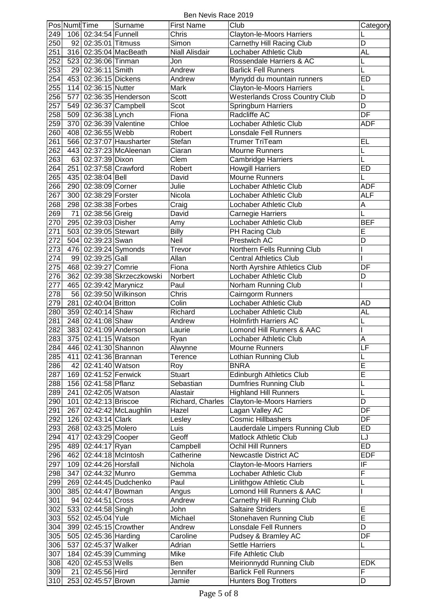Ben Nevis Race 2019

|     | Pos Numl Time |                         | Surname                    | <b>First Name</b> | Club                                  | Category                 |
|-----|---------------|-------------------------|----------------------------|-------------------|---------------------------------------|--------------------------|
| 249 |               | 106 02:34:54 Funnell    |                            | Chris             | Clayton-le-Moors Harriers             |                          |
|     |               |                         |                            |                   |                                       |                          |
| 250 |               | 92 02:35:01 Titmuss     |                            | Simon             | Carnethy Hill Racing Club             | D                        |
| 251 |               |                         | 316 02:35:04 MacBeath      | Niall Alisdair    | Lochaber Athletic Club                | <b>AL</b>                |
| 252 |               | 523 02:36:06 Tinman     |                            | Jon               | Rossendale Harriers & AC              | L                        |
| 253 |               | 29 02:36:11 Smith       |                            | Andrew            | <b>Barlick Fell Runners</b>           | L                        |
| 254 |               | 453 02:36:15 Dickens    |                            | Andrew            | Mynydd du mountain runners            | <b>ED</b>                |
| 255 |               | 114 02:36:15 Nutter     |                            | Mark              | <b>Clayton-le-Moors Harriers</b>      | L                        |
| 256 |               |                         | 577 02:36:35 Henderson     | Scott             | <b>Westerlands Cross Country Club</b> | D                        |
| 257 |               |                         | 549 02:36:37 Campbell      | Scot              | Springburn Harriers                   | D                        |
| 258 |               | 509 02:36:38 Lynch      |                            | Fiona             | Radcliffe AC                          | DF                       |
|     |               |                         |                            | Chloe             | Lochaber Athletic Club                | ADF                      |
| 259 |               |                         | 370 02:36:39 Valentine     |                   |                                       |                          |
| 260 |               | 408 02:36:55 Webb       |                            | Robert            | <b>Lonsdale Fell Runners</b>          |                          |
| 261 |               |                         | 566 02:37:07 Hausharter    | Stefan            | Trumer TriTeam                        | EL                       |
| 262 |               |                         | 443 02:37:23 McAleenan     | Ciaran            | <b>Mourne Runners</b>                 | L                        |
| 263 |               | 63 02:37:39 Dixon       |                            | Clem              | <b>Cambridge Harriers</b>             | L                        |
| 264 |               | 251 02:37:58 Crawford   |                            | Robert            | <b>Howgill Harriers</b>               | ED                       |
| 265 |               | 435 02:38:04 Bell       |                            | David             | Mourne Runners                        |                          |
| 266 |               | 290 02:38:09 Corner     |                            | Julie             | Lochaber Athletic Club                | <b>ADF</b>               |
| 267 |               | 300 02:38:29 Forster    |                            | Nicola            | Lochaber Athletic Club                | ALF                      |
| 268 |               | 298 02:38:38 Forbes     |                            | Craig             | Lochaber Athletic Club                | A                        |
| 269 | 71            | 02:38:56 Greig          |                            | David             |                                       | L                        |
|     |               |                         |                            |                   | Carnegie Harriers                     |                          |
| 270 |               | 295 02:39:03 Disher     |                            | Amy               | Lochaber Athletic Club                | <b>BEF</b>               |
| 271 |               | 503 02:39:05 Stewart    |                            | <b>Billy</b>      | PH Racing Club                        | E                        |
| 272 |               | 504 02:39:23 Swan       |                            | Neil              | Prestwich AC                          | D                        |
| 273 |               |                         | 476 02:39:24 Symonds       | Trevor            | Northern Fells Running Club           | I                        |
| 274 |               | 99 02:39:25 Gall        |                            | Allan             | <b>Central Athletics Club</b>         |                          |
| 275 |               | 468 02:39:27 Comrie     |                            | Fiona             | North Ayrshire Athletics Club         | DF                       |
| 276 |               |                         | 362 02:39:38 Skrzeczkowski | Norbert           | Lochaber Athletic Club                | D                        |
| 277 |               | 465 02:39:42 Marynicz   |                            | Paul              | Norham Running Club                   |                          |
|     |               |                         |                            |                   |                                       |                          |
| 278 |               |                         | 56 02:39:50 Wilkinson      | Chris             | Cairngorm Runners                     |                          |
| 279 |               | 281 02:40:04 Britton    |                            | Colin             | Lochaber Athletic Club                | AD                       |
| 280 |               | 359 02:40:14 Shaw       |                            | Richard           | Lochaber Athletic Club                | AL                       |
| 281 |               | 248 02:41:08 Shaw       |                            | Andrew            | <b>Holmfirth Harriers AC</b>          | L                        |
| 282 |               |                         | 383 02:41:09 Anderson      | Laurie            | Lomond Hill Runners & AAC             |                          |
| 283 |               | 375 02:41:15 Watson     |                            | Ryan              | Lochaber Athletic Club                | A                        |
| 284 |               | 446 02:41:30 Shannon    |                            | Alwynne           | Mourne Runners                        | LF                       |
| 285 |               | 411 02:41:36 Brannan    |                            | Terence           | Lothian Running Club                  | L                        |
| 286 |               | 42 02:41:40 Watson      |                            | Roy               | <b>BNRA</b>                           | E                        |
| 287 |               | 169 02:41:52 Fenwick    |                            | <b>Stuart</b>     | <b>Edinburgh Athletics Club</b>       | $\overline{E}$           |
|     |               |                         |                            |                   |                                       |                          |
| 288 |               | 156 02:41:58 Pflanz     |                            | Sebastian         | <b>Dumfries Running Club</b>          | L                        |
| 289 |               | 241   02:42:05   Watson |                            | Alastair          | <b>Highland Hill Runners</b>          | L                        |
| 290 |               | 101 02:42:13 Briscoe    |                            | Richard, Charles  | Clayton-le-Moors Harriers             | D                        |
| 291 |               |                         | 267 02:42:42 McLaughlin    | Hazel             | Lagan Valley AC                       | DF                       |
| 292 |               | 126 02:43:14 Clark      |                            | Lesley            | Cosmic Hillbashers                    | DF                       |
| 293 |               | 268 02:43:25 Molero     |                            | Luis              | Lauderdale Limpers Running Club       | ED                       |
| 294 |               | 417 02:43:29 Cooper     |                            | Geoff             | Matlock Athletic Club                 | LJ                       |
| 295 |               | 489 02:44:17 Ryan       |                            | Campbell          | Ochil Hill Runners                    | <b>ED</b>                |
| 296 |               |                         | 462 02:44:18 McIntosh      | Catherine         | Newcastle District AC                 | <b>EDF</b>               |
| 297 |               | 109 02:44:26 Horsfall   |                            | Nichola           | Clayton-le-Moors Harriers             | $\overline{\mathbb{F}}$  |
|     |               |                         |                            |                   |                                       | F                        |
| 298 | 347           | 02:44:32 Munro          |                            | Gemma             | Lochaber Athletic Club                |                          |
| 299 |               |                         | 269 02:44:45 Dudchenko     | Paul              | Linlithgow Athletic Club              | L                        |
| 300 |               | 385 02:44:47 Bowman     |                            | Angus             | Lomond Hill Runners & AAC             |                          |
| 301 |               | 94 02:44:51 Cross       |                            | Andrew            | Carnethy Hill Running Club            |                          |
| 302 |               | 533 02:44:58 Singh      |                            | John              | <b>Saltaire Striders</b>              | E                        |
| 303 |               | 552 02:45:04 Yule       |                            | Michael           | Stonehaven Running Club               | E                        |
| 304 |               |                         | 399 02:45:15 Crowther      | Andrew            | Lonsdale Fell Runners                 | $\overline{\mathsf{D}}$  |
| 305 |               | 505 02:45:36 Harding    |                            | Caroline          | Pudsey & Bramley AC                   | $\overline{\mathsf{DF}}$ |
| 306 |               | 537 02:45:37 Walker     |                            | Adrian            | <b>Settle Harriers</b>                | L                        |
| 307 |               |                         | 184 02:45:39 Cumming       | Mike              | Fife Athletic Club                    |                          |
|     |               |                         |                            |                   |                                       |                          |
| 308 |               | 420 02:45:53 Wells      |                            | Ben               | Meirionnydd Running Club              | <b>EDK</b>               |
| 309 |               | 21 02:45:56 Hird        |                            | Jennifer          | <b>Barlick Fell Runners</b>           | F                        |
| 310 |               | 253 02:45:57 Brown      |                            | Jamie             | <b>Hunters Bog Trotters</b>           | D                        |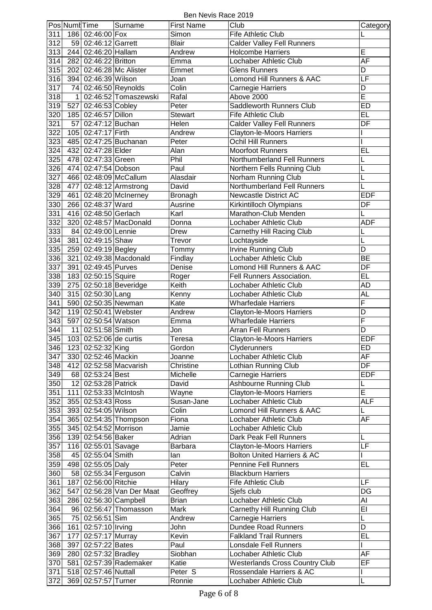Ben Nevis Race 2019

|                  | Pos Numt Time |                        | Surname                   | <b>First Name</b> | Club                                   | Category                 |
|------------------|---------------|------------------------|---------------------------|-------------------|----------------------------------------|--------------------------|
| 311              | 186           | 02:46:00 Fox           |                           | Simon             | Fife Athletic Club                     | L                        |
| 312              |               | 59 02:46:12 Garrett    |                           | <b>Blair</b>      | <b>Calder Valley Fell Runners</b>      |                          |
| 313              |               | 244 02:46:20 Hallam    |                           | Andrew            | <b>Holcombe Harriers</b>               | E                        |
| 314              | 282           | 02:46:22 Britton       |                           | Emma              | Lochaber Athletic Club                 | <b>AF</b>                |
|                  |               |                        |                           |                   |                                        |                          |
| 315              | 202           |                        | 02:46:28 Mc Alister       | Emmet             | <b>Glens Runners</b>                   | D                        |
| 316              | 394           | 02:46:39 Wilson        |                           | Joan              | Lomond Hill Runners & AAC              | LF                       |
| 317              | 74            |                        | 02:46:50 Reynolds         | Colin             | Carnegie Harriers                      | D                        |
| 318              | $\mathbf{1}$  |                        | 02:46:52 Tomaszewski      | Rafal             | Above 2000                             | $\overline{E}$           |
| 319              |               | 527 02:46:53 Cobley    |                           | Peter             | Saddleworth Runners Club               | ED                       |
|                  |               |                        |                           |                   |                                        |                          |
| 320              |               | 185 02:46:57 Dillon    |                           | <b>Stewart</b>    | Fife Athletic Club                     | EL                       |
| 321              | 57            | 02:47:12 Buchan        |                           | Helen             | Calder Valley Fell Runners             | DF                       |
| 322              |               | 105 02:47:17 Firth     |                           | Andrew            | Clayton-le-Moors Harriers              |                          |
| 323              | 485           |                        | 02:47:25 Buchanan         | Peter             | Ochil Hill Runners                     |                          |
| 324              | 432           | 02:47:28 Elder         |                           | Alan              | <b>Moorfoot Runners</b>                | EL                       |
|                  |               |                        |                           |                   |                                        |                          |
| 325              | 478           | 02:47:33 Green         |                           | Phil              | Northumberland Fell Runners            | L                        |
| 326              | 474           | 02:47:54 Dobson        |                           | Paul              | Northern Fells Running Club            | L                        |
| 327              |               |                        | 466 02:48:09 McCallum     | Alasdair          | Norham Running Club                    | L                        |
| 328              |               |                        | 477 02:48:12 Armstrong    | David             | Northumberland Fell Runners            | L                        |
| 329              |               |                        | 461 02:48:20 McInerney    | <b>Bronagh</b>    | Newcastle District AC                  | <b>EDF</b>               |
| 330              |               | 266 02:48:37 Ward      |                           | Ausrine           | Kirkintilloch Olympians                | DF                       |
|                  |               |                        |                           |                   |                                        |                          |
| 331              |               | 416 02:48:50 Gerlach   |                           | Karl              | Marathon-Club Menden                   | L                        |
| 332              | 320           |                        | 02:48:57 MacDonald        | Donna             | Lochaber Athletic Club                 | <b>ADF</b>               |
| 333              |               | 84 02:49:00 Lennie     |                           | Drew              | Carnethy Hill Racing Club              | L                        |
| 334              |               | 381 02:49:15 Shaw      |                           | Trevor            | Lochtayside                            | L                        |
| 335              |               | 259 02:49:19 Begley    |                           | Tommy             | <b>Irvine Running Club</b>             | D                        |
|                  |               |                        |                           |                   |                                        |                          |
| 336              | 321           |                        | $02:49:38$ Macdonald      | Findlay           | Lochaber Athletic Club                 | <b>BE</b>                |
| $\overline{337}$ |               | 391 02:49:45 Purves    |                           | Denise            | Lomond Hill Runners & AAC              | $\overline{DF}$          |
| 338              |               | 183 02:50:15 Squire    |                           | Roger             | Fell Runners Association.              | E                        |
| 339              | 275           |                        | 02:50:18 Beveridge        | Keith             | Lochaber Athletic Club                 | <b>AD</b>                |
| 340              | 315           | 02:50:30 Lang          |                           | Kenny             | Lochaber Athletic Club                 | <b>AL</b>                |
|                  |               |                        |                           |                   |                                        |                          |
| 341              | 590           | 02:50:35 Newman        |                           | Kate              | <b>Wharfedale Harriers</b>             | $\overline{F}$           |
| 342              |               | 119 02:50:41 Webster   |                           | Andrew            | Clayton-le-Moors Harriers              | D                        |
| 343              |               | 597 02:50:54 Watson    |                           | Emma              | <b>Wharfedale Harriers</b>             | $\overline{\mathsf{F}}$  |
| 344              | 11            | 02:51:58 Smith         |                           | Jon               | <b>Arran Fell Runners</b>              | D                        |
| 345              |               | 103 02:52:06 de curtis |                           | Teresa            | <b>Clayton-le-Moors Harriers</b>       | <b>EDF</b>               |
|                  |               |                        |                           |                   |                                        |                          |
| 346              |               | 123 02:52:32 King      |                           | Gordon            | Clyderunners                           | ED                       |
| 347              |               | 330 02:52:46 Mackin    |                           | Joanne            | Lochaber Athletic Club                 | AF                       |
| 348              |               |                        | 412 02:52:58 Macvarish    | Christine         | Lothian Running Club                   | $\overline{DF}$          |
| 349              |               | 68 02:53:24 Best       |                           | Michelle          | Carnegie Harriers                      | <b>EDF</b>               |
| 350              |               | 12 02:53:28 Patrick    |                           | David             | Ashbourne Running Club                 | L                        |
| 351              |               |                        | 111 02:53:33 McIntosh     | Wayne             | Clayton-le-Moors Harriers              | $\overline{E}$           |
|                  |               |                        |                           |                   |                                        |                          |
| 352              |               | 355 02:53:43 Ross      |                           | Susan-Jane        | Lochaber Athletic Club                 | <b>ALF</b>               |
| 353              |               | 393 02:54:05 Wilson    |                           | Colin             | Lomond Hill Runners & AAC              | L                        |
| 354              |               |                        | 365 02:54:35 Thompson     | Fiona             | Lochaber Athletic Club                 | AF                       |
| 355              |               | 345 02:54:52 Morrison  |                           | Jamie             | Lochaber Athletic Club                 |                          |
| 356              |               | 139 02:54:56 Baker     |                           | Adrian            | Dark Peak Fell Runners                 | L                        |
|                  |               |                        |                           |                   |                                        |                          |
| 357              |               | 116 02:55:01 Savage    |                           | Barbara           | Clayton-le-Moors Harriers              | <b>LF</b>                |
| 358              |               | 45 02:55:04 Smith      |                           | lan               | <b>Bolton United Harriers &amp; AC</b> |                          |
| 359              |               | 498 02:55:05 Daly      |                           | Peter             | <b>Pennine Fell Runners</b>            | EL                       |
| 360              |               |                        | 58 02:55:34 Ferguson      | Calvin            | <b>Blackburn Harriers</b>              |                          |
| 361              |               | 187 02:56:00 Ritchie   |                           | Hilary            | Fife Athletic Club                     | LF                       |
| 362              |               |                        |                           |                   |                                        | $\overline{\mathsf{DG}}$ |
|                  |               |                        | 547 02:56:28 Van Der Maat | Geoffrey          | Sjefs club                             |                          |
| 363              |               |                        | 286 02:56:30 Campbell     | <b>Brian</b>      | Lochaber Athletic Club                 | Al                       |
| 364              |               |                        | 96 02:56:47 Thomasson     | Mark              | Carnethy Hill Running Club             | $\overline{EI}$          |
| 365              | 75            | 02:56:51 Sim           |                           | Andrew            | Carnegie Harriers                      | L                        |
| 366              | 161           | 02:57:10 Irving        |                           | John              | <b>Dundee Road Runners</b>             | $\overline{D}$           |
| 367              | 177           |                        |                           | Kevin             | <b>Falkland Trail Runners</b>          | $\overline{EL}$          |
|                  |               | 02:57:17 Murray        |                           |                   |                                        |                          |
| 368              | 397           | 02:57:22 Bates         |                           | Paul              | Lonsdale Fell Runners                  |                          |
| 369              |               | 280 02:57:32 Bradley   |                           | Siobhan           | Lochaber Athletic Club                 | AF                       |
| 370              |               |                        | 581 02:57:39 Rademaker    | Katie             | <b>Westerlands Cross Country Club</b>  | EF                       |
| 371              |               | 518 02:57:46 Nuttall   |                           | Peter S           | Rossendale Harriers & AC               | I                        |
| 372              |               | 369 02:57:57 Turner    |                           | Ronnie            | Lochaber Athletic Club                 | L                        |
|                  |               |                        |                           |                   |                                        |                          |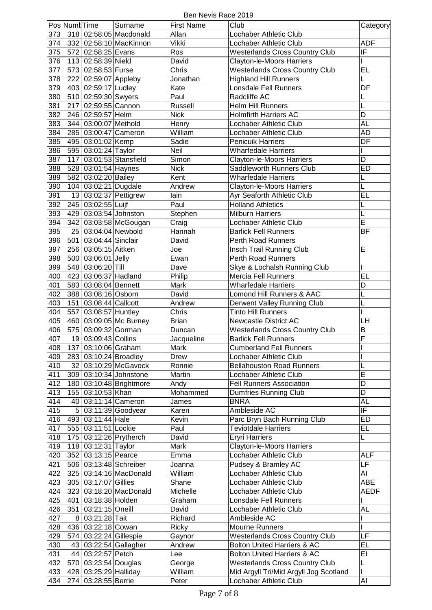Ben Nevis Race 2019

|     | Pos Numt Time |                        | Surname                 | <b>First Name</b> | Club                                   | Category                 |
|-----|---------------|------------------------|-------------------------|-------------------|----------------------------------------|--------------------------|
| 373 |               |                        | 318 02:58:05 Macdonald  | Allan             | Lochaber Athletic Club                 |                          |
|     |               |                        |                         |                   |                                        | <b>ADF</b>               |
| 374 |               |                        | 332 02:58:10 MacKinnon  | Vikki             | Lochaber Athletic Club                 |                          |
| 375 |               | 572 02:58:25 Evans     |                         | Ros               | <b>Westerlands Cross Country Club</b>  | IF                       |
| 376 |               | 113 02:58:39 Nield     |                         | David             | Clayton-le-Moors Harriers              | I                        |
| 377 |               | 573 02:58:53 Furse     |                         | Chris             | <b>Westerlands Cross Country Club</b>  | <b>EL</b>                |
| 378 |               | 222 02:59:07 Appleby   |                         | Jonathan          | <b>Highland Hill Runners</b>           | L                        |
| 379 |               | 403 02:59:17 Ludley    |                         | Kate              | <b>Lonsdale Fell Runners</b>           | $\overline{DF}$          |
| 380 |               | 510 02:59:30 Swyers    |                         | Paul              | Radcliffe AC                           | L                        |
| 381 | 217           | 02:59:55 Cannon        |                         | Russell           | <b>Helm Hill Runners</b>               | L                        |
| 382 |               | 246 02:59:57 Helm      |                         | <b>Nick</b>       | <b>Holmfirth Harriers AC</b>           | D                        |
|     |               |                        |                         |                   |                                        |                          |
| 383 |               | 344 03:00:07 Methold   |                         | Henry             | Lochaber Athletic Club                 | AL                       |
| 384 |               |                        | 285 03:00:47 Cameron    | William           | Lochaber Athletic Club                 | AD                       |
| 385 |               | 495 03:01:02 Kemp      |                         | Sadie             | <b>Penicuik Harriers</b>               | DF                       |
| 386 |               | 595 03:01:24 Taylor    |                         | Neil              | <b>Wharfedale Harriers</b>             |                          |
| 387 |               |                        | 117 03:01:53 Stansfield | Simon             | Clayton-le-Moors Harriers              | D                        |
| 388 |               | 528 03:01:54 Haynes    |                         | <b>Nick</b>       | Saddleworth Runners Club               | <b>ED</b>                |
| 389 | 582           | 03:02:20 Bailey        |                         | Kent              | <b>Wharfedale Harriers</b>             | L                        |
| 390 |               | 104 03:02:21 Dugdale   |                         | Andrew            | Clayton-le-Moors Harriers              | L                        |
| 391 |               |                        | 13 03:02:37 Pettigrew   | lain              |                                        | EL                       |
|     |               |                        |                         |                   | Ayr Seaforth Athletic Club             |                          |
| 392 |               | 245 03:02:55 Luijf     |                         | Paul              | <b>Holland Athletics</b>               | L                        |
| 393 |               | 429 03:03:54 Johnston  |                         | Stephen           | <b>Milburn Harriers</b>                | L                        |
| 394 |               |                        | 342 03:03:58 McGougan   | Craig             | Lochaber Athletic Club                 | Ē                        |
| 395 |               | 25 03:04:04 Newbold    |                         | Hannah            | <b>Barlick Fell Runners</b>            | BF                       |
| 396 |               | 501 03:04:44 Sinclair  |                         | David             | Perth Road Runners                     |                          |
| 397 |               | 256 03:05:15 Aitken    |                         | Joe               | Insch Trail Running Club               | E                        |
| 398 |               | 500 03:06:01 Jelly     |                         | Ewan              | Perth Road Runners                     |                          |
| 399 |               | 548 03:06:20 Till      |                         |                   | Skye & Lochalsh Running Club           |                          |
|     |               |                        |                         | Dave              |                                        |                          |
| 400 |               | 423 03:06:37 Hadland   |                         | Philip            | <b>Mercia Fell Runners</b>             | E                        |
| 401 |               | 583 03:08:04 Bennett   |                         | Mark              | <b>Wharfedale Harriers</b>             | D                        |
| 402 |               | 388 03:08:16 Osborn    |                         | David             | Lomond Hill Runners & AAC              | L                        |
| 403 |               | 151 03:08:44 Callcott  |                         | Andrew            | Derwent Valley Running Club            | L                        |
| 404 |               | 557 03:08:57 Huntley   |                         | Chris             | <b>Tinto Hill Runners</b>              |                          |
| 405 |               |                        | 460 03:09:05 Mc Burney  | <b>Brian</b>      | <b>Newcastle District AC</b>           | LH                       |
| 406 | 575           | 03:09:32 Gorman        |                         | Duncan            | <b>Westerlands Cross Country Club</b>  | B                        |
| 407 |               | 19 03:09:43 Collins    |                         | Jacqueline        | <b>Barlick Fell Runners</b>            | $\overline{\mathsf{F}}$  |
| 408 |               | 137 03:10:06 Graham    |                         | Mark              | <b>Cumberland Fell Runners</b>         |                          |
|     |               |                        |                         |                   | Lochaber Athletic Club                 |                          |
| 409 |               | 283 03:10:24 Broadley  |                         | Drew              |                                        |                          |
| 410 |               |                        | 32 03:10:29 McGavock    | Ronnie            | <b>Bellahouston Road Runners</b>       | L                        |
| 411 |               |                        | 309 03:10:34 Johnstone  | Martin            | Lochaber Athletic Club                 | E                        |
| 412 |               |                        | 180 03:10:48 Brightmore | Andy              | <b>Fell Runners Association</b>        | D                        |
| 413 |               | 155 03:10:53 Khan      |                         | Mohammed          | Dumfries Running Club                  | D                        |
| 414 |               |                        | 40 03:11:14 Cameron     | James             | <b>BNRA</b>                            | AL                       |
| 415 |               |                        | 5 03:11:39 Goodyear     | Karen             | Ambleside AC                           | $\overline{\mathsf{IF}}$ |
| 416 |               | 493 03:11:44 Hale      |                         | Kevin             | Parc Bryn Bach Running Club            | ED                       |
| 417 |               | 555 03:11:51 Lockie    |                         | Paul              | <b>Teviotdale Harriers</b>             | EL.                      |
|     |               |                        |                         | David             |                                        |                          |
| 418 |               |                        | 175 03:12:26 Prytherch  |                   | <b>Eryri Harriers</b>                  | L                        |
| 419 |               | 118 03:12:31 Taylor    |                         | Mark              | Clayton-le-Moors Harriers              |                          |
| 420 |               | 352 03:13:15 Pearce    |                         | Emma              | Lochaber Athletic Club                 | ALF                      |
| 421 |               |                        | 506 03:13:48 Schreiber  | Joanna            | Pudsey & Bramley AC                    | $\overline{\mathsf{LF}}$ |
| 422 |               |                        | 325 03:14:16 MacDonald  | William           | Lochaber Athletic Club                 | AI                       |
| 423 |               | 305 03:17:07 Gillies   |                         | Shane             | Lochaber Athletic Club                 | <b>ABE</b>               |
| 424 |               |                        | 323 03:18:20 MacDonald  | Michelle          | Lochaber Athletic Club                 | <b>AEDF</b>              |
| 425 |               | 401 03:18:38 Holden    |                         | Graham            | Lonsdale Fell Runners                  |                          |
| 426 |               | 351 03:21:15 Oneill    |                         | David             | Lochaber Athletic Club                 | AL                       |
|     |               |                        |                         | Richard           |                                        |                          |
| 427 |               | 8 03:21:28 Tait        |                         |                   | Ambleside AC                           |                          |
| 428 |               | 436 03:22:18 Cowan     |                         | Ricky             | Mourne Runners                         | I                        |
| 429 |               | 574 03:22:24 Gillespie |                         | Gaynor            | <b>Westerlands Cross Country Club</b>  | LF                       |
| 430 |               |                        | 43 03:22:54 Gallagher   | Andrew            | <b>Bolton United Harriers &amp; AC</b> | $\overline{EL}$          |
| 431 |               | 44 03:22:57 Petch      |                         | Lee               | <b>Bolton United Harriers &amp; AC</b> | EI                       |
| 432 |               | 570 03:23:54 Douglas   |                         | George            | <b>Westerlands Cross Country Club</b>  | L                        |
| 433 |               | 428 03:25:29 Halliday  |                         | William           | Mid Argyll Tri/Mid Argyll Jog Scotland | I                        |
|     | 434           | 274 03:28:55 Berrie    |                         | Peter             | Lochaber Athletic Club                 | AI                       |